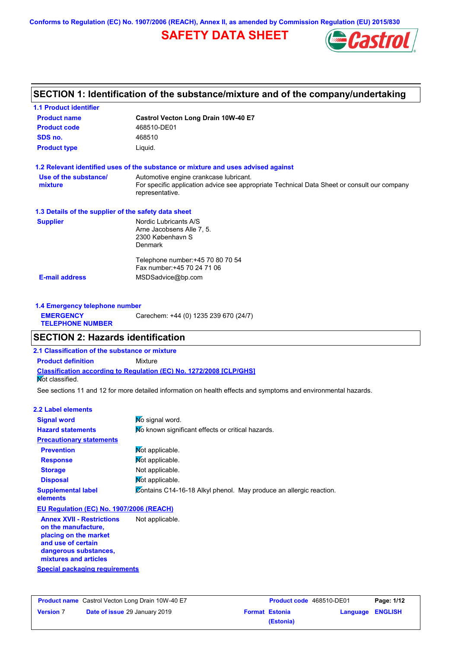**Conforms to Regulation (EC) No. 1907/2006 (REACH), Annex II, as amended by Commission Regulation (EU) 2015/830**

# **SAFETY DATA SHEET**



## **SECTION 1: Identification of the substance/mixture and of the company/undertaking**

| <b>1.1 Product identifier</b>                              |                                                                                                                |  |  |
|------------------------------------------------------------|----------------------------------------------------------------------------------------------------------------|--|--|
| Castrol Vecton Long Drain 10W-40 E7<br><b>Product name</b> |                                                                                                                |  |  |
| <b>Product code</b>                                        | 468510-DE01                                                                                                    |  |  |
| SDS no.                                                    | 468510                                                                                                         |  |  |
| <b>Product type</b>                                        | Liquid.                                                                                                        |  |  |
|                                                            | 1.2 Relevant identified uses of the substance or mixture and uses advised against                              |  |  |
| Use of the substance/                                      | Automotive engine crankcase lubricant.                                                                         |  |  |
| mixture                                                    | For specific application advice see appropriate Technical Data Sheet or consult our company<br>representative. |  |  |
| 1.3 Details of the supplier of the safety data sheet       |                                                                                                                |  |  |
| <b>Supplier</b>                                            | Nordic Lubricants A/S                                                                                          |  |  |
|                                                            | Arne Jacobsens Alle 7, 5.                                                                                      |  |  |
|                                                            | 2300 København S<br><b>Denmark</b>                                                                             |  |  |
|                                                            |                                                                                                                |  |  |
|                                                            | Telephone number: +45 70 80 70 54                                                                              |  |  |
|                                                            | Fax number: +45 70 24 71 06                                                                                    |  |  |
| <b>E-mail address</b>                                      | MSDSadvice@bp.com                                                                                              |  |  |
|                                                            |                                                                                                                |  |  |
|                                                            |                                                                                                                |  |  |

| 1.4 Emergency telephone number              |                                       |
|---------------------------------------------|---------------------------------------|
| <b>EMERGENCY</b><br><b>TELEPHONE NUMBER</b> | Carechem: +44 (0) 1235 239 670 (24/7) |

## **SECTION 2: Hazards identification**

**2.1 Classification of the substance or mixture**

**Classification according to Regulation (EC) No. 1272/2008 [CLP/GHS] Product definition** Mixture

Not classified.

See sections 11 and 12 for more detailed information on health effects and symptoms and environmental hazards.

## **2.2 Label elements**

| <u>z.z Label elements</u>             |                                                                    |  |  |
|---------------------------------------|--------------------------------------------------------------------|--|--|
| <b>Signal word</b>                    | No signal word.                                                    |  |  |
| <b>Hazard statements</b>              | No known significant effects or critical hazards.                  |  |  |
| <b>Precautionary statements</b>       |                                                                    |  |  |
| <b>Prevention</b>                     | Mot applicable.                                                    |  |  |
| <b>Response</b>                       | Not applicable.                                                    |  |  |
| <b>Storage</b>                        | Not applicable.                                                    |  |  |
| <b>Disposal</b>                       | Not applicable.                                                    |  |  |
| <b>Supplemental label</b><br>elements | Contains C14-16-18 Alkyl phenol. May produce an allergic reaction. |  |  |

#### **EU Regulation (EC) No. 1907/2006 (REACH)**

**Special packaging requirements Annex XVII - Restrictions on the manufacture, placing on the market and use of certain dangerous substances, mixtures and articles** Not applicable.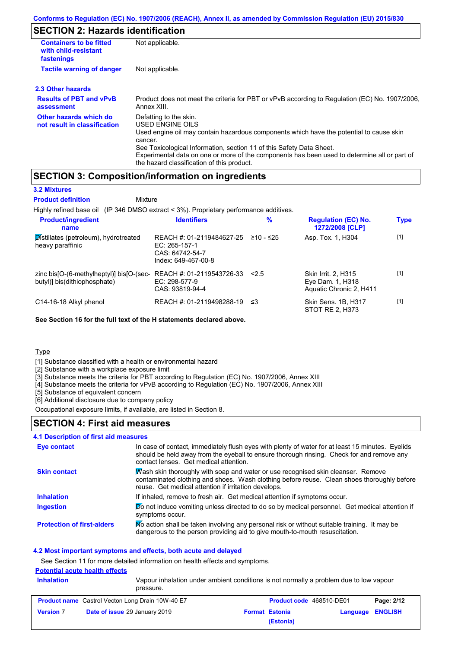## **SECTION 2: Hazards identification**

| <b>Containers to be fitted</b><br>with child-resistant<br>fastenings | Not applicable.                                                                                                                                                                                                    |
|----------------------------------------------------------------------|--------------------------------------------------------------------------------------------------------------------------------------------------------------------------------------------------------------------|
| <b>Tactile warning of danger</b>                                     | Not applicable.                                                                                                                                                                                                    |
| 2.3 Other hazards                                                    |                                                                                                                                                                                                                    |
| <b>Results of PBT and vPvB</b><br>assessment                         | Product does not meet the criteria for PBT or vPvB according to Regulation (EC) No. 1907/2006,<br>Annex XIII.                                                                                                      |
| Other hazards which do<br>not result in classification               | Defatting to the skin.<br>USED ENGINE OILS                                                                                                                                                                         |
|                                                                      | Used engine oil may contain hazardous components which have the potential to cause skin<br>cancer.                                                                                                                 |
|                                                                      | See Toxicological Information, section 11 of this Safety Data Sheet.<br>Experimental data on one or more of the components has been used to determine all or part of<br>the hazard classification of this product. |

## **SECTION 3: Composition/information on ingredients**

Mixture

## **3.2 Mixtures**

**Product definition**

Highly refined base oil (IP 346 DMSO extract < 3%). Proprietary performance additives.

| <b>Product/ingredient</b><br>name                                              | <b>Identifiers</b>                                                                     | $\%$      | <b>Regulation (EC) No.</b><br>1272/2008 [CLP]                      | <b>Type</b> |
|--------------------------------------------------------------------------------|----------------------------------------------------------------------------------------|-----------|--------------------------------------------------------------------|-------------|
| Distillates (petroleum), hydrotreated<br>heavy paraffinic                      | REACH #: 01-2119484627-25<br>$EC: 265-157-1$<br>CAS: 64742-54-7<br>Index: 649-467-00-8 | ≥10 - ≤25 | Asp. Tox. 1, H304                                                  | $[1]$       |
| zinc bis $[O-(6-methylheptyl)]$ bis $[O-(sec-$<br>butyl)] bis(dithiophosphate) | REACH #: 01-2119543726-33<br>$EC: 298-577-9$<br>CAS: 93819-94-4                        | 2.5       | Skin Irrit. 2, H315<br>Eye Dam. 1, H318<br>Aquatic Chronic 2, H411 | $[1]$       |
| C14-16-18 Alkyl phenol                                                         | REACH #: 01-2119498288-19                                                              | וי≥       | Skin Sens. 1B, H317<br>STOT RE 2, H373                             | $[1]$       |

**See Section 16 for the full text of the H statements declared above.**

Type

[1] Substance classified with a health or environmental hazard

[2] Substance with a workplace exposure limit

[3] Substance meets the criteria for PBT according to Regulation (EC) No. 1907/2006, Annex XIII

[4] Substance meets the criteria for vPvB according to Regulation (EC) No. 1907/2006, Annex XIII

[5] Substance of equivalent concern

[6] Additional disclosure due to company policy

Occupational exposure limits, if available, are listed in Section 8.

## **SECTION 4: First aid measures**

#### **4.1 Description of first aid measures**

| Eye contact                       | In case of contact, immediately flush eyes with plenty of water for at least 15 minutes. Eyelids<br>should be held away from the eyeball to ensure thorough rinsing. Check for and remove any<br>contact lenses. Get medical attention. |
|-----------------------------------|-----------------------------------------------------------------------------------------------------------------------------------------------------------------------------------------------------------------------------------------|
| <b>Skin contact</b>               | Wash skin thoroughly with soap and water or use recognised skin cleanser. Remove<br>contaminated clothing and shoes. Wash clothing before reuse. Clean shoes thoroughly before<br>reuse. Get medical attention if irritation develops.  |
| <b>Inhalation</b>                 | If inhaled, remove to fresh air. Get medical attention if symptoms occur.                                                                                                                                                               |
| <b>Ingestion</b>                  | Do not induce vomiting unless directed to do so by medical personnel. Get medical attention if<br>symptoms occur.                                                                                                                       |
| <b>Protection of first-aiders</b> | No action shall be taken involving any personal risk or without suitable training. It may be<br>dangerous to the person providing aid to give mouth-to-mouth resuscitation.                                                             |

#### **4.2 Most important symptoms and effects, both acute and delayed**

See Section 11 for more detailed information on health effects and symptoms.

#### **Potential acute health effects**

| <b>Inhalation</b> | pressure.                                               | Vapour inhalation under ambient conditions is not normally a problem due to low vapour |                                 |                         |            |
|-------------------|---------------------------------------------------------|----------------------------------------------------------------------------------------|---------------------------------|-------------------------|------------|
|                   | <b>Product name</b> Castrol Vecton Long Drain 10W-40 E7 |                                                                                        | <b>Product code</b> 468510-DE01 |                         | Page: 2/12 |
| <b>Version 7</b>  | Date of issue 29 January 2019                           |                                                                                        | <b>Format Estonia</b>           | <b>Language ENGLISH</b> |            |
|                   |                                                         |                                                                                        | (Estonia)                       |                         |            |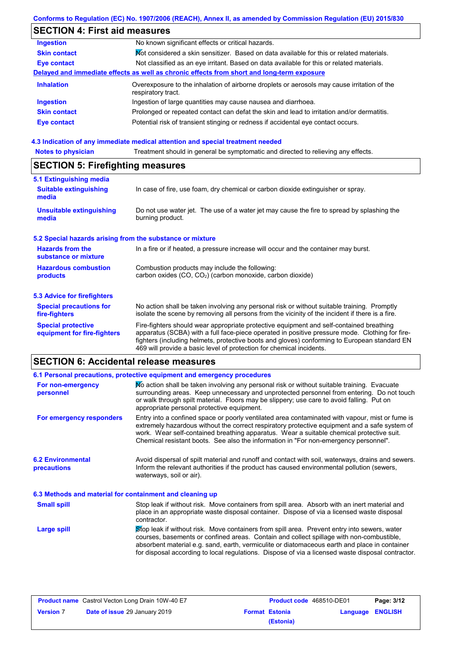## **Conforms to Regulation (EC) No. 1907/2006 (REACH), Annex II, as amended by Commission Regulation (EU) 2015/830**

# **SECTION 4: First aid measures**

| <b>Ingestion</b>                                                                           | No known significant effects or critical hazards.                                                                 |  |  |
|--------------------------------------------------------------------------------------------|-------------------------------------------------------------------------------------------------------------------|--|--|
| <b>Skin contact</b>                                                                        | Mot considered a skin sensitizer. Based on data available for this or related materials.                          |  |  |
| <b>Eye contact</b>                                                                         | Not classified as an eye irritant. Based on data available for this or related materials.                         |  |  |
| Delayed and immediate effects as well as chronic effects from short and long-term exposure |                                                                                                                   |  |  |
| <b>Inhalation</b>                                                                          | Overexposure to the inhalation of airborne droplets or aerosols may cause irritation of the<br>respiratory tract. |  |  |
| <b>Ingestion</b>                                                                           | Ingestion of large quantities may cause nausea and diarrhoea.                                                     |  |  |
| <b>Skin contact</b>                                                                        | Prolonged or repeated contact can defat the skin and lead to irritation and/or dermatitis.                        |  |  |
| <b>Eye contact</b>                                                                         | Potential risk of transient stinging or redness if accidental eye contact occurs.                                 |  |  |
|                                                                                            |                                                                                                                   |  |  |

#### **4.3 Indication of any immediate medical attention and special treatment needed**

| <b>Notes to physician</b>                                                                                                                                | Treatment should in general be symptomatic and directed to relieving any effects.                                                                                                                                                                                                                                                                                 |  |  |  |
|----------------------------------------------------------------------------------------------------------------------------------------------------------|-------------------------------------------------------------------------------------------------------------------------------------------------------------------------------------------------------------------------------------------------------------------------------------------------------------------------------------------------------------------|--|--|--|
|                                                                                                                                                          | <b>SECTION 5: Firefighting measures</b>                                                                                                                                                                                                                                                                                                                           |  |  |  |
| 5.1 Extinguishing media<br><b>Suitable extinguishing</b><br>media                                                                                        | In case of fire, use foam, dry chemical or carbon dioxide extinguisher or spray.                                                                                                                                                                                                                                                                                  |  |  |  |
| <b>Unsuitable extinguishing</b><br>media                                                                                                                 | Do not use water jet. The use of a water jet may cause the fire to spread by splashing the<br>burning product.                                                                                                                                                                                                                                                    |  |  |  |
| 5.2 Special hazards arising from the substance or mixture                                                                                                |                                                                                                                                                                                                                                                                                                                                                                   |  |  |  |
| <b>Hazards from the</b><br>substance or mixture                                                                                                          | In a fire or if heated, a pressure increase will occur and the container may burst.                                                                                                                                                                                                                                                                               |  |  |  |
| <b>Hazardous combustion</b><br>Combustion products may include the following:<br>carbon oxides $(CO, CO2)$ (carbon monoxide, carbon dioxide)<br>products |                                                                                                                                                                                                                                                                                                                                                                   |  |  |  |
| 5.3 Advice for firefighters                                                                                                                              |                                                                                                                                                                                                                                                                                                                                                                   |  |  |  |
| <b>Special precautions for</b><br>fire-fighters                                                                                                          | No action shall be taken involving any personal risk or without suitable training. Promptly<br>isolate the scene by removing all persons from the vicinity of the incident if there is a fire.                                                                                                                                                                    |  |  |  |
| <b>Special protective</b><br>equipment for fire-fighters                                                                                                 | Fire-fighters should wear appropriate protective equipment and self-contained breathing<br>apparatus (SCBA) with a full face-piece operated in positive pressure mode. Clothing for fire-<br>fighters (including helmets, protective boots and gloves) conforming to European standard EN<br>469 will provide a basic level of protection for chemical incidents. |  |  |  |

# **SECTION 6: Accidental release measures**

|                                                                                                                                                                                                                                                                                                                                                                       | 6.1 Personal precautions, protective equipment and emergency procedures                                                                                                                                                                                                                                                                                                                        |  |  |
|-----------------------------------------------------------------------------------------------------------------------------------------------------------------------------------------------------------------------------------------------------------------------------------------------------------------------------------------------------------------------|------------------------------------------------------------------------------------------------------------------------------------------------------------------------------------------------------------------------------------------------------------------------------------------------------------------------------------------------------------------------------------------------|--|--|
| No action shall be taken involving any personal risk or without suitable training. Evacuate<br>For non-emergency<br>surrounding areas. Keep unnecessary and unprotected personnel from entering. Do not touch<br>personnel<br>or walk through spilt material. Floors may be slippery; use care to avoid falling. Put on<br>appropriate personal protective equipment. |                                                                                                                                                                                                                                                                                                                                                                                                |  |  |
| For emergency responders                                                                                                                                                                                                                                                                                                                                              | Entry into a confined space or poorly ventilated area contaminated with vapour, mist or fume is<br>extremely hazardous without the correct respiratory protective equipment and a safe system of<br>work. Wear self-contained breathing apparatus. Wear a suitable chemical protective suit.<br>Chemical resistant boots. See also the information in "For non-emergency personnel".           |  |  |
| Avoid dispersal of spilt material and runoff and contact with soil, waterways, drains and sewers.<br><b>6.2 Environmental</b><br>Inform the relevant authorities if the product has caused environmental pollution (sewers,<br>precautions<br>waterways, soil or air).                                                                                                |                                                                                                                                                                                                                                                                                                                                                                                                |  |  |
| 6.3 Methods and material for containment and cleaning up                                                                                                                                                                                                                                                                                                              |                                                                                                                                                                                                                                                                                                                                                                                                |  |  |
| <b>Small spill</b>                                                                                                                                                                                                                                                                                                                                                    | Stop leak if without risk. Move containers from spill area. Absorb with an inert material and<br>place in an appropriate waste disposal container. Dispose of via a licensed waste disposal<br>contractor.                                                                                                                                                                                     |  |  |
| Large spill                                                                                                                                                                                                                                                                                                                                                           | Stop leak if without risk. Move containers from spill area. Prevent entry into sewers, water<br>courses, basements or confined areas. Contain and collect spillage with non-combustible,<br>absorbent material e.g. sand, earth, vermiculite or diatomaceous earth and place in container<br>for disposal according to local regulations. Dispose of via a licensed waste disposal contractor. |  |  |

| <b>Product name</b> Castrol Vecton Long Drain 10W-40 E7 |                                      | <b>Product code</b> 468510-DE01 |                       | Page: 3/12       |  |
|---------------------------------------------------------|--------------------------------------|---------------------------------|-----------------------|------------------|--|
| <b>Version 7</b>                                        | <b>Date of issue 29 January 2019</b> |                                 | <b>Format Estonia</b> | Language ENGLISH |  |
|                                                         |                                      |                                 | (Estonia)             |                  |  |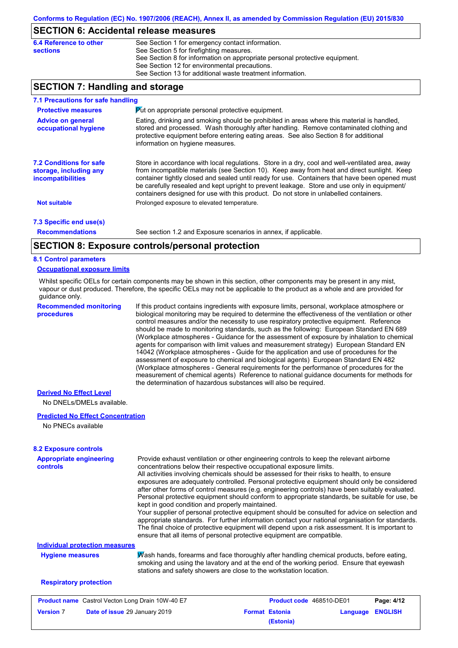## **SECTION 6: Accidental release measures**

| 6.4 Reference to other | See Section 1 for emergency contact information.                            |
|------------------------|-----------------------------------------------------------------------------|
| sections               | See Section 5 for firefighting measures.                                    |
|                        | See Section 8 for information on appropriate personal protective equipment. |
|                        | See Section 12 for environmental precautions.                               |
|                        | See Section 13 for additional waste treatment information.                  |
|                        |                                                                             |

## **SECTION 7: Handling and storage**

| 7.1 Precautions for safe handling                                             |                                                                                                                                                                                                                                                                                                                                                                                                                                                                                          |  |  |
|-------------------------------------------------------------------------------|------------------------------------------------------------------------------------------------------------------------------------------------------------------------------------------------------------------------------------------------------------------------------------------------------------------------------------------------------------------------------------------------------------------------------------------------------------------------------------------|--|--|
| <b>Protective measures</b>                                                    | Put on appropriate personal protective equipment.                                                                                                                                                                                                                                                                                                                                                                                                                                        |  |  |
| <b>Advice on general</b><br>occupational hygiene                              | Eating, drinking and smoking should be prohibited in areas where this material is handled,<br>stored and processed. Wash thoroughly after handling. Remove contaminated clothing and<br>protective equipment before entering eating areas. See also Section 8 for additional<br>information on hygiene measures.                                                                                                                                                                         |  |  |
| <b>7.2 Conditions for safe</b><br>storage, including any<br>incompatibilities | Store in accordance with local regulations. Store in a dry, cool and well-ventilated area, away<br>from incompatible materials (see Section 10). Keep away from heat and direct sunlight. Keep<br>container tightly closed and sealed until ready for use. Containers that have been opened must<br>be carefully resealed and kept upright to prevent leakage. Store and use only in equipment/<br>containers designed for use with this product. Do not store in unlabelled containers. |  |  |
| <b>Not suitable</b>                                                           | Prolonged exposure to elevated temperature.                                                                                                                                                                                                                                                                                                                                                                                                                                              |  |  |
| 7.3 Specific end use(s)                                                       |                                                                                                                                                                                                                                                                                                                                                                                                                                                                                          |  |  |
| <b>Recommendations</b>                                                        | See section 1.2 and Exposure scenarios in annex, if applicable.                                                                                                                                                                                                                                                                                                                                                                                                                          |  |  |
|                                                                               |                                                                                                                                                                                                                                                                                                                                                                                                                                                                                          |  |  |

## **SECTION 8: Exposure controls/personal protection**

#### **8.1 Control parameters**

#### **Occupational exposure limits**

Whilst specific OELs for certain components may be shown in this section, other components may be present in any mist, vapour or dust produced. Therefore, the specific OELs may not be applicable to the product as a whole and are provided for guidance only.

**Recommended monitoring procedures**

If this product contains ingredients with exposure limits, personal, workplace atmosphere or biological monitoring may be required to determine the effectiveness of the ventilation or other control measures and/or the necessity to use respiratory protective equipment. Reference should be made to monitoring standards, such as the following: European Standard EN 689 (Workplace atmospheres - Guidance for the assessment of exposure by inhalation to chemical agents for comparison with limit values and measurement strategy) European Standard EN 14042 (Workplace atmospheres - Guide for the application and use of procedures for the assessment of exposure to chemical and biological agents) European Standard EN 482 (Workplace atmospheres - General requirements for the performance of procedures for the measurement of chemical agents) Reference to national guidance documents for methods for the determination of hazardous substances will also be required.

## **Derived No Effect Level**

No DNELs/DMELs available.

#### **Predicted No Effect Concentration**

No PNECs available

| <b>Appropriate engineering</b><br><b>controls</b>       | Provide exhaust ventilation or other engineering controls to keep the relevant airborne<br>concentrations below their respective occupational exposure limits.<br>All activities involving chemicals should be assessed for their risks to health, to ensure<br>exposures are adequately controlled. Personal protective equipment should only be considered<br>after other forms of control measures (e.g. engineering controls) have been suitably evaluated.<br>Personal protective equipment should conform to appropriate standards, be suitable for use, be<br>kept in good condition and properly maintained.<br>Your supplier of personal protective equipment should be consulted for advice on selection and<br>appropriate standards. For further information contact your national organisation for standards.<br>The final choice of protective equipment will depend upon a risk assessment. It is important to<br>ensure that all items of personal protective equipment are compatible. |                                    |          |                |
|---------------------------------------------------------|---------------------------------------------------------------------------------------------------------------------------------------------------------------------------------------------------------------------------------------------------------------------------------------------------------------------------------------------------------------------------------------------------------------------------------------------------------------------------------------------------------------------------------------------------------------------------------------------------------------------------------------------------------------------------------------------------------------------------------------------------------------------------------------------------------------------------------------------------------------------------------------------------------------------------------------------------------------------------------------------------------|------------------------------------|----------|----------------|
| <b>Individual protection measures</b>                   |                                                                                                                                                                                                                                                                                                                                                                                                                                                                                                                                                                                                                                                                                                                                                                                                                                                                                                                                                                                                         |                                    |          |                |
| <b>Hygiene measures</b>                                 | Wash hands, forearms and face thoroughly after handling chemical products, before eating,<br>smoking and using the lavatory and at the end of the working period. Ensure that eyewash<br>stations and safety showers are close to the workstation location.                                                                                                                                                                                                                                                                                                                                                                                                                                                                                                                                                                                                                                                                                                                                             |                                    |          |                |
| <b>Respiratory protection</b>                           |                                                                                                                                                                                                                                                                                                                                                                                                                                                                                                                                                                                                                                                                                                                                                                                                                                                                                                                                                                                                         |                                    |          |                |
| <b>Product name</b> Castrol Vecton Long Drain 10W-40 E7 |                                                                                                                                                                                                                                                                                                                                                                                                                                                                                                                                                                                                                                                                                                                                                                                                                                                                                                                                                                                                         | <b>Product code</b> 468510-DE01    |          | Page: 4/12     |
| <b>Version 7</b>                                        | Date of issue 29 January 2019                                                                                                                                                                                                                                                                                                                                                                                                                                                                                                                                                                                                                                                                                                                                                                                                                                                                                                                                                                           | <b>Format Estonia</b><br>(Estonia) | Language | <b>ENGLISH</b> |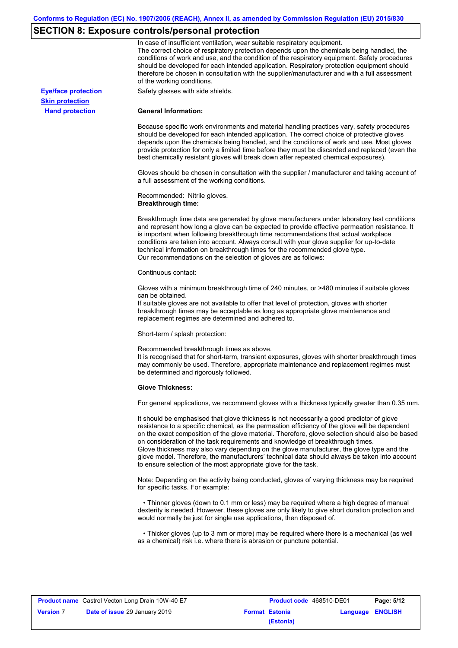# **SECTION 8: Exposure controls/personal protection**

|                            | In case of insufficient ventilation, wear suitable respiratory equipment.<br>The correct choice of respiratory protection depends upon the chemicals being handled, the<br>conditions of work and use, and the condition of the respiratory equipment. Safety procedures<br>should be developed for each intended application. Respiratory protection equipment should<br>therefore be chosen in consultation with the supplier/manufacturer and with a full assessment<br>of the working conditions.                                                                                                                                             |
|----------------------------|---------------------------------------------------------------------------------------------------------------------------------------------------------------------------------------------------------------------------------------------------------------------------------------------------------------------------------------------------------------------------------------------------------------------------------------------------------------------------------------------------------------------------------------------------------------------------------------------------------------------------------------------------|
| <b>Eye/face protection</b> | Safety glasses with side shields.                                                                                                                                                                                                                                                                                                                                                                                                                                                                                                                                                                                                                 |
| <b>Skin protection</b>     |                                                                                                                                                                                                                                                                                                                                                                                                                                                                                                                                                                                                                                                   |
| <b>Hand protection</b>     | <b>General Information:</b>                                                                                                                                                                                                                                                                                                                                                                                                                                                                                                                                                                                                                       |
|                            | Because specific work environments and material handling practices vary, safety procedures<br>should be developed for each intended application. The correct choice of protective gloves<br>depends upon the chemicals being handled, and the conditions of work and use. Most gloves<br>provide protection for only a limited time before they must be discarded and replaced (even the<br>best chemically resistant gloves will break down after repeated chemical exposures).                                                                                                                                                                  |
|                            | Gloves should be chosen in consultation with the supplier / manufacturer and taking account of<br>a full assessment of the working conditions.                                                                                                                                                                                                                                                                                                                                                                                                                                                                                                    |
|                            | Recommended: Nitrile gloves.<br><b>Breakthrough time:</b>                                                                                                                                                                                                                                                                                                                                                                                                                                                                                                                                                                                         |
|                            | Breakthrough time data are generated by glove manufacturers under laboratory test conditions<br>and represent how long a glove can be expected to provide effective permeation resistance. It<br>is important when following breakthrough time recommendations that actual workplace<br>conditions are taken into account. Always consult with your glove supplier for up-to-date<br>technical information on breakthrough times for the recommended glove type.<br>Our recommendations on the selection of gloves are as follows:                                                                                                                |
|                            | Continuous contact:                                                                                                                                                                                                                                                                                                                                                                                                                                                                                                                                                                                                                               |
|                            | Gloves with a minimum breakthrough time of 240 minutes, or >480 minutes if suitable gloves<br>can be obtained.<br>If suitable gloves are not available to offer that level of protection, gloves with shorter<br>breakthrough times may be acceptable as long as appropriate glove maintenance and<br>replacement regimes are determined and adhered to.                                                                                                                                                                                                                                                                                          |
|                            | Short-term / splash protection:                                                                                                                                                                                                                                                                                                                                                                                                                                                                                                                                                                                                                   |
|                            | Recommended breakthrough times as above.<br>It is recognised that for short-term, transient exposures, gloves with shorter breakthrough times<br>may commonly be used. Therefore, appropriate maintenance and replacement regimes must<br>be determined and rigorously followed.                                                                                                                                                                                                                                                                                                                                                                  |
|                            | <b>Glove Thickness:</b>                                                                                                                                                                                                                                                                                                                                                                                                                                                                                                                                                                                                                           |
|                            | For general applications, we recommend gloves with a thickness typically greater than 0.35 mm.                                                                                                                                                                                                                                                                                                                                                                                                                                                                                                                                                    |
|                            | It should be emphasised that glove thickness is not necessarily a good predictor of glove<br>resistance to a specific chemical, as the permeation efficiency of the glove will be dependent<br>on the exact composition of the glove material. Therefore, glove selection should also be based<br>on consideration of the task requirements and knowledge of breakthrough times.<br>Glove thickness may also vary depending on the glove manufacturer, the glove type and the<br>glove model. Therefore, the manufacturers' technical data should always be taken into account<br>to ensure selection of the most appropriate glove for the task. |
|                            | Note: Depending on the activity being conducted, gloves of varying thickness may be required<br>for specific tasks. For example:                                                                                                                                                                                                                                                                                                                                                                                                                                                                                                                  |
|                            | • Thinner gloves (down to 0.1 mm or less) may be required where a high degree of manual<br>dexterity is needed. However, these gloves are only likely to give short duration protection and<br>would normally be just for single use applications, then disposed of.                                                                                                                                                                                                                                                                                                                                                                              |
|                            | • Thicker gloves (up to 3 mm or more) may be required where there is a mechanical (as well<br>as a chemical) risk i.e. where there is abrasion or puncture potential.                                                                                                                                                                                                                                                                                                                                                                                                                                                                             |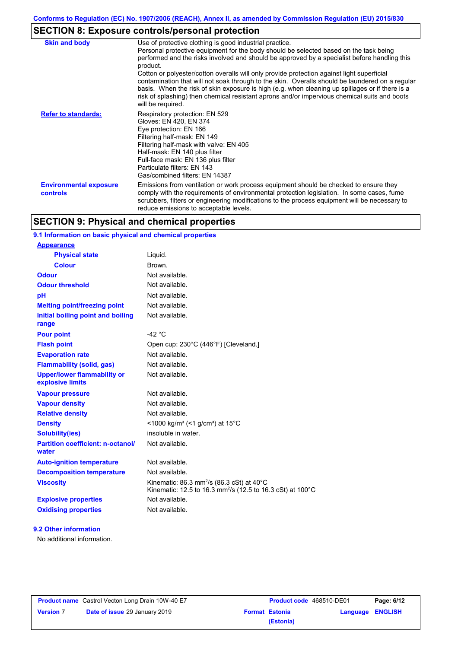# **SECTION 8: Exposure controls/personal protection**

| <b>Skin and body</b>                             | Use of protective clothing is good industrial practice.<br>Personal protective equipment for the body should be selected based on the task being<br>performed and the risks involved and should be approved by a specialist before handling this<br>product.<br>Cotton or polyester/cotton overalls will only provide protection against light superficial<br>contamination that will not soak through to the skin. Overalls should be laundered on a regular<br>basis. When the risk of skin exposure is high (e.g. when cleaning up spillages or if there is a<br>risk of splashing) then chemical resistant aprons and/or impervious chemical suits and boots<br>will be required. |
|--------------------------------------------------|---------------------------------------------------------------------------------------------------------------------------------------------------------------------------------------------------------------------------------------------------------------------------------------------------------------------------------------------------------------------------------------------------------------------------------------------------------------------------------------------------------------------------------------------------------------------------------------------------------------------------------------------------------------------------------------|
| <b>Refer to standards:</b>                       | Respiratory protection: EN 529<br>Gloves: EN 420, EN 374<br>Eye protection: EN 166<br>Filtering half-mask: EN 149<br>Filtering half-mask with valve: EN 405<br>Half-mask: EN 140 plus filter<br>Full-face mask: EN 136 plus filter<br>Particulate filters: EN 143<br>Gas/combined filters: EN 14387                                                                                                                                                                                                                                                                                                                                                                                   |
| <b>Environmental exposure</b><br><b>controls</b> | Emissions from ventilation or work process equipment should be checked to ensure they<br>comply with the requirements of environmental protection legislation. In some cases, fume<br>scrubbers, filters or engineering modifications to the process equipment will be necessary to<br>reduce emissions to acceptable levels.                                                                                                                                                                                                                                                                                                                                                         |

## **SECTION 9: Physical and chemical properties**

## **9.1 Information on basic physical and chemical properties**

| <b>Appearance</b>                                      |                                                                                                                                             |
|--------------------------------------------------------|---------------------------------------------------------------------------------------------------------------------------------------------|
| <b>Physical state</b>                                  | Liquid.                                                                                                                                     |
| <b>Colour</b>                                          | Brown.                                                                                                                                      |
| <b>Odour</b>                                           | Not available.                                                                                                                              |
| <b>Odour threshold</b>                                 | Not available.                                                                                                                              |
| pH                                                     | Not available.                                                                                                                              |
| <b>Melting point/freezing point</b>                    | Not available.                                                                                                                              |
| Initial boiling point and boiling<br>range             | Not available.                                                                                                                              |
| <b>Pour point</b>                                      | -42 $^{\circ}$ C                                                                                                                            |
| <b>Flash point</b>                                     | Open cup: 230°C (446°F) [Cleveland.]                                                                                                        |
| <b>Evaporation rate</b>                                | Not available                                                                                                                               |
| <b>Flammability (solid, gas)</b>                       | Not available.                                                                                                                              |
| <b>Upper/lower flammability or</b><br>explosive limits | Not available.                                                                                                                              |
| <b>Vapour pressure</b>                                 | Not available.                                                                                                                              |
| <b>Vapour density</b>                                  | Not available.                                                                                                                              |
| <b>Relative density</b>                                | Not available.                                                                                                                              |
| <b>Density</b>                                         | <1000 kg/m <sup>3</sup> (<1 g/cm <sup>3</sup> ) at 15 <sup>°</sup> C                                                                        |
| <b>Solubility(ies)</b>                                 | insoluble in water.                                                                                                                         |
| <b>Partition coefficient: n-octanol/</b><br>water      | Not available.                                                                                                                              |
| <b>Auto-ignition temperature</b>                       | Not available.                                                                                                                              |
| <b>Decomposition temperature</b>                       | Not available.                                                                                                                              |
| <b>Viscosity</b>                                       | Kinematic: 86.3 mm <sup>2</sup> /s (86.3 cSt) at 40 $^{\circ}$ C<br>Kinematic: 12.5 to 16.3 mm <sup>2</sup> /s (12.5 to 16.3 cSt) at 100 °C |
| <b>Explosive properties</b>                            | Not available.                                                                                                                              |
| <b>Oxidising properties</b>                            | Not available.                                                                                                                              |

#### **9.2 Other information**

No additional information.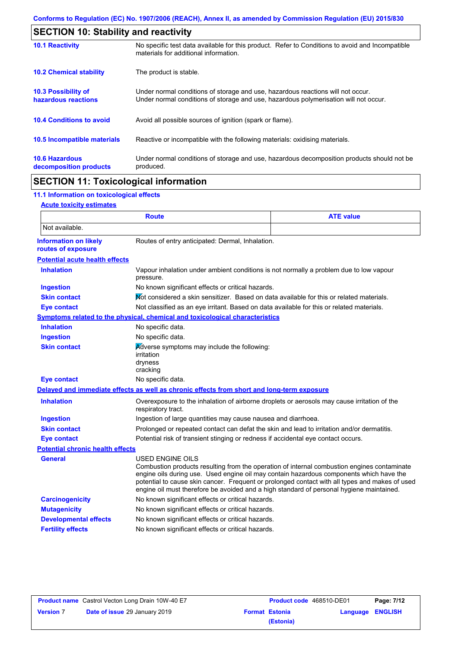| <b>SECTION 10: Stability and reactivity</b>                                                                                                                             |  |  |
|-------------------------------------------------------------------------------------------------------------------------------------------------------------------------|--|--|
| No specific test data available for this product. Refer to Conditions to avoid and Incompatible<br>materials for additional information.                                |  |  |
| The product is stable.                                                                                                                                                  |  |  |
| Under normal conditions of storage and use, hazardous reactions will not occur.<br>Under normal conditions of storage and use, hazardous polymerisation will not occur. |  |  |
| Avoid all possible sources of ignition (spark or flame).                                                                                                                |  |  |
| Reactive or incompatible with the following materials: oxidising materials.                                                                                             |  |  |
| Under normal conditions of storage and use, hazardous decomposition products should not be<br>produced.                                                                 |  |  |
|                                                                                                                                                                         |  |  |

## **SECTION 11: Toxicological information**

## **11.1 Information on toxicological effects**

#### **Acute toxicity estimates**

|                                                                                                         | <b>Route</b>                                                                                                                                                                                                                                                                                                                                                                                                    | <b>ATE value</b> |  |
|---------------------------------------------------------------------------------------------------------|-----------------------------------------------------------------------------------------------------------------------------------------------------------------------------------------------------------------------------------------------------------------------------------------------------------------------------------------------------------------------------------------------------------------|------------------|--|
| Not available.                                                                                          |                                                                                                                                                                                                                                                                                                                                                                                                                 |                  |  |
| <b>Information on likely</b><br>routes of exposure                                                      | Routes of entry anticipated: Dermal, Inhalation.                                                                                                                                                                                                                                                                                                                                                                |                  |  |
| <b>Potential acute health effects</b>                                                                   |                                                                                                                                                                                                                                                                                                                                                                                                                 |                  |  |
| <b>Inhalation</b>                                                                                       | Vapour inhalation under ambient conditions is not normally a problem due to low vapour<br>pressure.                                                                                                                                                                                                                                                                                                             |                  |  |
| <b>Ingestion</b>                                                                                        | No known significant effects or critical hazards.                                                                                                                                                                                                                                                                                                                                                               |                  |  |
| <b>Skin contact</b>                                                                                     | Not considered a skin sensitizer. Based on data available for this or related materials.                                                                                                                                                                                                                                                                                                                        |                  |  |
| <b>Eye contact</b>                                                                                      | Not classified as an eye irritant. Based on data available for this or related materials.                                                                                                                                                                                                                                                                                                                       |                  |  |
|                                                                                                         | Symptoms related to the physical, chemical and toxicological characteristics                                                                                                                                                                                                                                                                                                                                    |                  |  |
| <b>Inhalation</b>                                                                                       | No specific data.                                                                                                                                                                                                                                                                                                                                                                                               |                  |  |
| <b>Ingestion</b>                                                                                        | No specific data.                                                                                                                                                                                                                                                                                                                                                                                               |                  |  |
| <b>Skin contact</b>                                                                                     | Adverse symptoms may include the following:<br>irritation<br>dryness<br>cracking                                                                                                                                                                                                                                                                                                                                |                  |  |
| <b>Eye contact</b>                                                                                      | No specific data.                                                                                                                                                                                                                                                                                                                                                                                               |                  |  |
|                                                                                                         | Delayed and immediate effects as well as chronic effects from short and long-term exposure                                                                                                                                                                                                                                                                                                                      |                  |  |
| <b>Inhalation</b>                                                                                       | Overexposure to the inhalation of airborne droplets or aerosols may cause irritation of the<br>respiratory tract.                                                                                                                                                                                                                                                                                               |                  |  |
| <b>Ingestion</b>                                                                                        | Ingestion of large quantities may cause nausea and diarrhoea.                                                                                                                                                                                                                                                                                                                                                   |                  |  |
| <b>Skin contact</b>                                                                                     | Prolonged or repeated contact can defat the skin and lead to irritation and/or dermatitis.                                                                                                                                                                                                                                                                                                                      |                  |  |
| Potential risk of transient stinging or redness if accidental eye contact occurs.<br><b>Eye contact</b> |                                                                                                                                                                                                                                                                                                                                                                                                                 |                  |  |
| <b>Potential chronic health effects</b>                                                                 |                                                                                                                                                                                                                                                                                                                                                                                                                 |                  |  |
| <b>General</b>                                                                                          | <b>USED ENGINE OILS</b><br>Combustion products resulting from the operation of internal combustion engines contaminate<br>engine oils during use. Used engine oil may contain hazardous components which have the<br>potential to cause skin cancer. Frequent or prolonged contact with all types and makes of used<br>engine oil must therefore be avoided and a high standard of personal hygiene maintained. |                  |  |
| <b>Carcinogenicity</b>                                                                                  | No known significant effects or critical hazards.                                                                                                                                                                                                                                                                                                                                                               |                  |  |
| <b>Mutagenicity</b>                                                                                     | No known significant effects or critical hazards.                                                                                                                                                                                                                                                                                                                                                               |                  |  |
| <b>Developmental effects</b>                                                                            | No known significant effects or critical hazards.                                                                                                                                                                                                                                                                                                                                                               |                  |  |
| <b>Fertility effects</b>                                                                                | No known significant effects or critical hazards.                                                                                                                                                                                                                                                                                                                                                               |                  |  |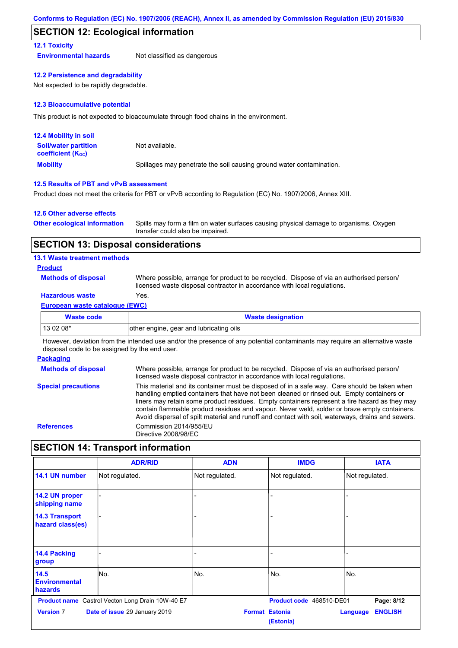## **SECTION 12: Ecological information**

#### **12.1 Toxicity**

**Environmental hazards** Not classified as dangerous

#### **12.2 Persistence and degradability**

Not expected to be rapidly degradable.

#### **12.3 Bioaccumulative potential**

This product is not expected to bioaccumulate through food chains in the environment.

| <b>12.4 Mobility in soil</b>                                  |                                                                      |
|---------------------------------------------------------------|----------------------------------------------------------------------|
| <b>Soil/water partition</b><br>coefficient (K <sub>oc</sub> ) | Not available.                                                       |
| <b>Mobility</b>                                               | Spillages may penetrate the soil causing ground water contamination. |

#### **12.5 Results of PBT and vPvB assessment**

Product does not meet the criteria for PBT or vPvB according to Regulation (EC) No. 1907/2006, Annex XIII.

#### **12.6 Other adverse effects**

| <b>Other ecological information</b> | Spills may form a film on water surfaces causing physical damage to organisms. Oxygen |
|-------------------------------------|---------------------------------------------------------------------------------------|
|                                     | transfer could also be impaired.                                                      |

## **SECTION 13: Disposal considerations**

#### **13.1 Waste treatment methods**

#### **Product**

**Methods of disposal**

Where possible, arrange for product to be recycled. Dispose of via an authorised person/ licensed waste disposal contractor in accordance with local regulations.

## **Hazardous waste** Yes.

#### **European waste catalogue (EWC)**

| <b>Waste code</b> | <b>Waste designation</b>                |  |
|-------------------|-----------------------------------------|--|
| 13 02 08*         | other engine, gear and lubricating oils |  |

However, deviation from the intended use and/or the presence of any potential contaminants may require an alternative waste disposal code to be assigned by the end user.

#### **Packaging**

**Methods of disposal Special precautions** Where possible, arrange for product to be recycled. Dispose of via an authorised person/ licensed waste disposal contractor in accordance with local regulations. This material and its container must be disposed of in a safe way. Care should be taken when handling emptied containers that have not been cleaned or rinsed out. Empty containers or liners may retain some product residues. Empty containers represent a fire hazard as they may contain flammable product residues and vapour. Never weld, solder or braze empty containers. Avoid dispersal of spilt material and runoff and contact with soil, waterways, drains and sewers. **References** Commission 2014/955/EU Directive 2008/98/EC

## **SECTION 14: Transport information**

|                                           | <b>ADR/RID</b>                                          | <b>ADN</b>     | <b>IMDG</b>                        | <b>IATA</b>                |
|-------------------------------------------|---------------------------------------------------------|----------------|------------------------------------|----------------------------|
| 14.1 UN number                            | Not regulated.                                          | Not regulated. | Not regulated.                     | Not regulated.             |
| 14.2 UN proper<br>shipping name           |                                                         |                |                                    |                            |
| <b>14.3 Transport</b><br>hazard class(es) |                                                         |                |                                    |                            |
| 14.4 Packing<br>group                     |                                                         |                |                                    |                            |
| 14.5<br><b>Environmental</b><br>hazards   | No.                                                     | No.            | No.                                | No.                        |
|                                           | <b>Product name</b> Castrol Vecton Long Drain 10W-40 E7 |                | Product code 468510-DE01           | Page: 8/12                 |
| <b>Version 7</b>                          | Date of issue 29 January 2019                           |                | <b>Format Estonia</b><br>(Estonia) | <b>ENGLISH</b><br>Language |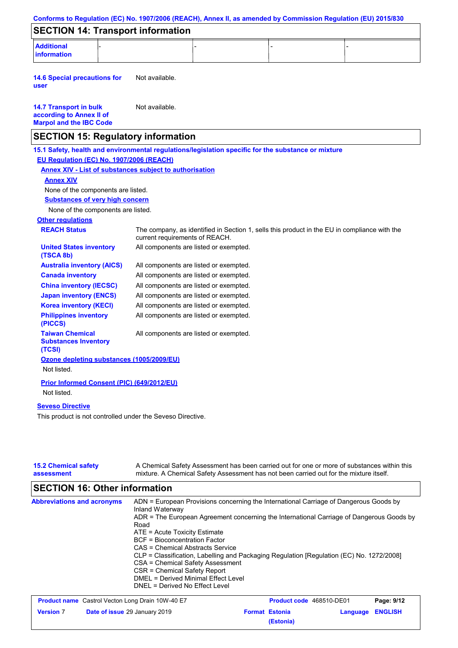|                                                                                             | Conforms to Regulation (EC) No. 1907/2006 (REACH), Annex II, as amended by Commission Regulation (EU) 2015/830                                                                        |  |  |
|---------------------------------------------------------------------------------------------|---------------------------------------------------------------------------------------------------------------------------------------------------------------------------------------|--|--|
| <b>SECTION 14: Transport information</b>                                                    |                                                                                                                                                                                       |  |  |
| <b>Additional</b><br><b>information</b>                                                     |                                                                                                                                                                                       |  |  |
| <b>14.6 Special precautions for</b><br>user                                                 | Not available.                                                                                                                                                                        |  |  |
| <b>14.7 Transport in bulk</b><br>according to Annex II of<br><b>Marpol and the IBC Code</b> | Not available.                                                                                                                                                                        |  |  |
| <b>SECTION 15: Regulatory information</b>                                                   |                                                                                                                                                                                       |  |  |
|                                                                                             | 15.1 Safety, health and environmental regulations/legislation specific for the substance or mixture                                                                                   |  |  |
| EU Regulation (EC) No. 1907/2006 (REACH)                                                    |                                                                                                                                                                                       |  |  |
|                                                                                             | <b>Annex XIV - List of substances subject to authorisation</b>                                                                                                                        |  |  |
| <b>Annex XIV</b>                                                                            |                                                                                                                                                                                       |  |  |
| None of the components are listed.                                                          |                                                                                                                                                                                       |  |  |
| <b>Substances of very high concern</b>                                                      |                                                                                                                                                                                       |  |  |
| None of the components are listed.                                                          |                                                                                                                                                                                       |  |  |
| <b>Other regulations</b>                                                                    |                                                                                                                                                                                       |  |  |
| <b>REACH Status</b>                                                                         | The company, as identified in Section 1, sells this product in the EU in compliance with the<br>current requirements of REACH.                                                        |  |  |
| <b>United States inventory</b><br>(TSCA 8b)                                                 | All components are listed or exempted.                                                                                                                                                |  |  |
| <b>Australia inventory (AICS)</b>                                                           | All components are listed or exempted.                                                                                                                                                |  |  |
| <b>Canada inventory</b>                                                                     | All components are listed or exempted.                                                                                                                                                |  |  |
| <b>China inventory (IECSC)</b>                                                              | All components are listed or exempted.                                                                                                                                                |  |  |
| <b>Japan inventory (ENCS)</b>                                                               | All components are listed or exempted.                                                                                                                                                |  |  |
| <b>Korea inventory (KECI)</b>                                                               | All components are listed or exempted.                                                                                                                                                |  |  |
| <b>Philippines inventory</b><br>(PICCS)                                                     | All components are listed or exempted.                                                                                                                                                |  |  |
| <b>Taiwan Chemical</b><br><b>Substances Inventory</b><br>(TCSI)                             | All components are listed or exempted.                                                                                                                                                |  |  |
| Ozone depleting substances (1005/2009/EU)                                                   |                                                                                                                                                                                       |  |  |
| Not listed.                                                                                 |                                                                                                                                                                                       |  |  |
| Prior Informed Consent (PIC) (649/2012/EU)                                                  |                                                                                                                                                                                       |  |  |
| Not listed.                                                                                 |                                                                                                                                                                                       |  |  |
| <b>Seveso Directive</b><br>This product is not controlled under the Seveso Directive.       |                                                                                                                                                                                       |  |  |
| <b>15.2 Chemical safety</b><br>assessment                                                   | A Chemical Safety Assessment has been carried out for one or more of substances within this<br>mixture. A Chemical Safety Assessment has not been carried out for the mixture itself. |  |  |

# **SECTION 16: Other information**

| <b>Abbreviations and acronyms</b> | ADN = European Provisions concerning the International Carriage of Dangerous Goods by<br>Inland Waterway<br>ADR = The European Agreement concerning the International Carriage of Dangerous Goods by<br>Road<br>ATE = Acute Toxicity Estimate<br>BCF = Bioconcentration Factor<br>CAS = Chemical Abstracts Service<br>CLP = Classification, Labelling and Packaging Regulation [Regulation (EC) No. 1272/2008]<br>CSA = Chemical Safety Assessment<br>CSR = Chemical Safety Report<br>DMEL = Derived Minimal Effect Level<br>DNEL = Derived No Effect Level |
|-----------------------------------|-------------------------------------------------------------------------------------------------------------------------------------------------------------------------------------------------------------------------------------------------------------------------------------------------------------------------------------------------------------------------------------------------------------------------------------------------------------------------------------------------------------------------------------------------------------|
|-----------------------------------|-------------------------------------------------------------------------------------------------------------------------------------------------------------------------------------------------------------------------------------------------------------------------------------------------------------------------------------------------------------------------------------------------------------------------------------------------------------------------------------------------------------------------------------------------------------|

| <b>Product name</b> Castrol Vecton Long Drain 10W-40 E7 |                                      | <b>Product code</b> 468510-DE01 |                       | Page: 9/12              |  |
|---------------------------------------------------------|--------------------------------------|---------------------------------|-----------------------|-------------------------|--|
| <b>Version 7</b>                                        | <b>Date of issue 29 January 2019</b> |                                 | <b>Format Estonia</b> | <b>Language ENGLISH</b> |  |
|                                                         |                                      |                                 | (Estonia)             |                         |  |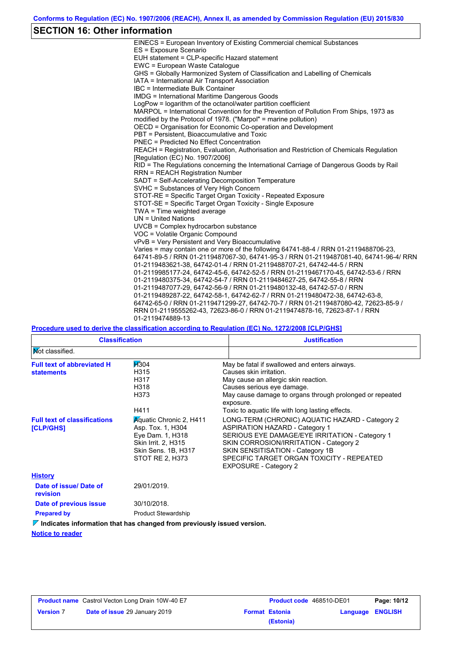## **SECTION 16: Other information**

| EINECS = European Inventory of Existing Commercial chemical Substances                  |
|-----------------------------------------------------------------------------------------|
| ES = Exposure Scenario                                                                  |
| EUH statement = CLP-specific Hazard statement                                           |
| EWC = European Waste Catalogue                                                          |
| GHS = Globally Harmonized System of Classification and Labelling of Chemicals           |
| IATA = International Air Transport Association                                          |
| IBC = Intermediate Bulk Container                                                       |
| <b>IMDG = International Maritime Dangerous Goods</b>                                    |
| LogPow = logarithm of the octanol/water partition coefficient                           |
| MARPOL = International Convention for the Prevention of Pollution From Ships, 1973 as   |
| modified by the Protocol of 1978. ("Marpol" = marine pollution)                         |
| OECD = Organisation for Economic Co-operation and Development                           |
| PBT = Persistent. Bioaccumulative and Toxic                                             |
| <b>PNEC = Predicted No Effect Concentration</b>                                         |
| REACH = Registration, Evaluation, Authorisation and Restriction of Chemicals Regulation |
| [Regulation (EC) No. 1907/2006]                                                         |
| RID = The Regulations concerning the International Carriage of Dangerous Goods by Rail  |
| <b>RRN = REACH Registration Number</b>                                                  |
| SADT = Self-Accelerating Decomposition Temperature                                      |
| SVHC = Substances of Very High Concern                                                  |
| STOT-RE = Specific Target Organ Toxicity - Repeated Exposure                            |
| STOT-SE = Specific Target Organ Toxicity - Single Exposure                              |
| TWA = Time weighted average                                                             |
| $UN = United Nations$                                                                   |
| UVCB = Complex hydrocarbon substance                                                    |
| VOC = Volatile Organic Compound                                                         |
| vPvB = Very Persistent and Very Bioaccumulative                                         |
| Varies = may contain one or more of the following 64741-88-4 / RRN 01-2119488706-23,    |
| 64741-89-5 / RRN 01-2119487067-30, 64741-95-3 / RRN 01-2119487081-40, 64741-96-4/ RRN   |
| 01-2119483621-38, 64742-01-4 / RRN 01-2119488707-21, 64742-44-5 / RRN                   |
| 01-2119985177-24, 64742-45-6, 64742-52-5 / RRN 01-2119467170-45, 64742-53-6 / RRN       |
| 01-2119480375-34, 64742-54-7 / RRN 01-2119484627-25, 64742-55-8 / RRN                   |
| 01-2119487077-29, 64742-56-9 / RRN 01-2119480132-48, 64742-57-0 / RRN                   |
| 01-2119489287-22, 64742-58-1, 64742-62-7 / RRN 01-2119480472-38, 64742-63-8,            |
| 64742-65-0 / RRN 01-2119471299-27, 64742-70-7 / RRN 01-2119487080-42, 72623-85-9 /      |
| RRN 01-2119555262-43, 72623-86-0 / RRN 01-2119474878-16, 72623-87-1 / RRN               |
| 01-2119474889-13                                                                        |

## **Procedure used to derive the classification according to Regulation (EC) No. 1272/2008 [CLP/GHS]**

| <b>Classification</b>                                  |                                                                                                                                          | <b>Justification</b>                                                                                                                                                                                                                                                                                  |
|--------------------------------------------------------|------------------------------------------------------------------------------------------------------------------------------------------|-------------------------------------------------------------------------------------------------------------------------------------------------------------------------------------------------------------------------------------------------------------------------------------------------------|
| Not classified.                                        |                                                                                                                                          |                                                                                                                                                                                                                                                                                                       |
| <b>Full text of abbreviated H</b><br><b>statements</b> | <b>H</b> 304<br>H315<br>H317<br>H318<br>H373<br>H411                                                                                     | May be fatal if swallowed and enters airways.<br>Causes skin irritation.<br>May cause an allergic skin reaction.<br>Causes serious eye damage.<br>May cause damage to organs through prolonged or repeated<br>exposure.<br>Toxic to aquatic life with long lasting effects.                           |
| <b>Full text of classifications</b><br>[CLP/GHS]       | <b>Aguatic Chronic 2, H411</b><br>Asp. Tox. 1, H304<br>Eye Dam. 1, H318<br>Skin Irrit. 2, H315<br>Skin Sens. 1B, H317<br>STOT RE 2, H373 | LONG-TERM (CHRONIC) AQUATIC HAZARD - Category 2<br><b>ASPIRATION HAZARD - Category 1</b><br>SERIOUS EYE DAMAGE/EYE IRRITATION - Category 1<br>SKIN CORROSION/IRRITATION - Category 2<br>SKIN SENSITISATION - Category 1B<br>SPECIFIC TARGET ORGAN TOXICITY - REPEATED<br><b>EXPOSURE - Category 2</b> |
| <b>History</b>                                         |                                                                                                                                          |                                                                                                                                                                                                                                                                                                       |
| Date of issue/ Date of<br>revision                     | 29/01/2019.                                                                                                                              |                                                                                                                                                                                                                                                                                                       |
| Date of previous issue                                 | 30/10/2018.                                                                                                                              |                                                                                                                                                                                                                                                                                                       |
| <b>Prepared by</b>                                     | <b>Product Stewardship</b>                                                                                                               |                                                                                                                                                                                                                                                                                                       |
|                                                        | $\nabla$ Indicates information that has changed from previously issued version.                                                          |                                                                                                                                                                                                                                                                                                       |

#### **Notice to reader**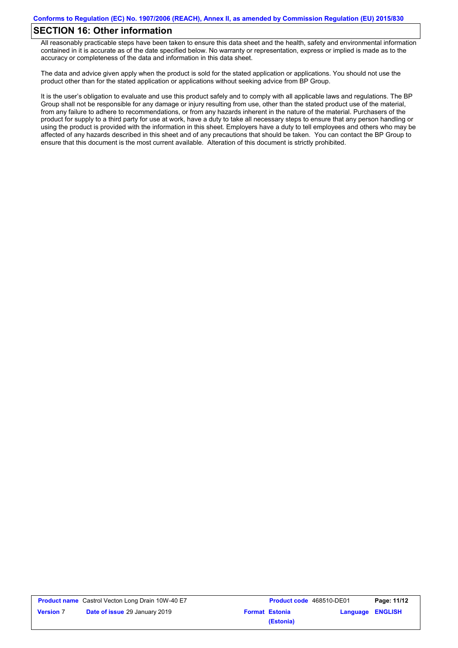## **SECTION 16: Other information**

All reasonably practicable steps have been taken to ensure this data sheet and the health, safety and environmental information contained in it is accurate as of the date specified below. No warranty or representation, express or implied is made as to the accuracy or completeness of the data and information in this data sheet.

The data and advice given apply when the product is sold for the stated application or applications. You should not use the product other than for the stated application or applications without seeking advice from BP Group.

It is the user's obligation to evaluate and use this product safely and to comply with all applicable laws and regulations. The BP Group shall not be responsible for any damage or injury resulting from use, other than the stated product use of the material, from any failure to adhere to recommendations, or from any hazards inherent in the nature of the material. Purchasers of the product for supply to a third party for use at work, have a duty to take all necessary steps to ensure that any person handling or using the product is provided with the information in this sheet. Employers have a duty to tell employees and others who may be affected of any hazards described in this sheet and of any precautions that should be taken. You can contact the BP Group to ensure that this document is the most current available. Alteration of this document is strictly prohibited.